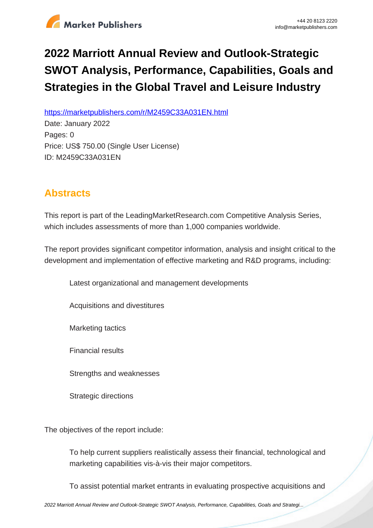

## **2022 Marriott Annual Review and Outlook-Strategic SWOT Analysis, Performance, Capabilities, Goals and Strategies in the Global Travel and Leisure Industry**

https://marketpublishers.com/r/M2459C33A031EN.html

Date: January 2022 Pages: 0 Price: US\$ 750.00 (Single User License) ID: M2459C33A031EN

## **Abstracts**

This report is part of the LeadingMarketResearch.com Competitive Analysis Series, which includes assessments of more than 1,000 companies worldwide.

The report provides significant competitor information, analysis and insight critical to the development and implementation of effective marketing and R&D programs, including:

Latest organizational and management developments

Acquisitions and divestitures

Marketing tactics

Financial results

Strengths and weaknesses

Strategic directions

The objectives of the report include:

To help current suppliers realistically assess their financial, technological and marketing capabilities vis-à-vis their major competitors.

To assist potential market entrants in evaluating prospective acquisitions and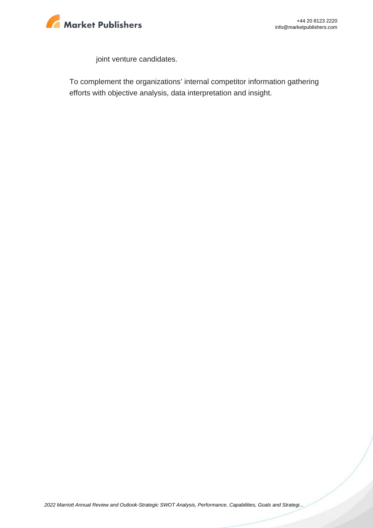

joint venture candidates.

To complement the organizations' internal competitor information gathering efforts with objective analysis, data interpretation and insight.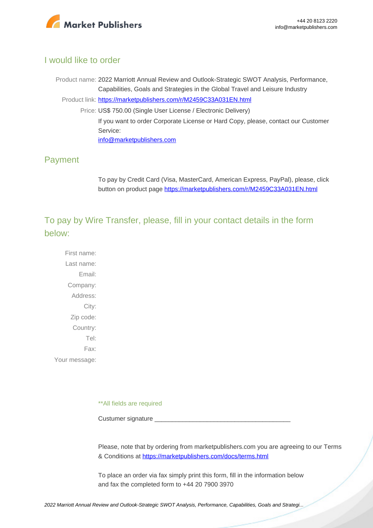

## I would like to order

Product name: 2022 Marriott Annual Review and Outlook-Strategic SWOT Analysis, Performance, Capabilities, Goals and Strategies in the Global Travel and Leisure Industry Product link: [https://marketpublishers.com/r/M2459C33A031EN.html](https://marketpublishers.com/report/services/travel-leisure/marriott-annual-review-n-outlook-strategic-swot-analysis-performance-capabilities-goals-n-strategies-in-global-travel-n-leisure-industry.html) Price: US\$ 750.00 (Single User License / Electronic Delivery) If you want to order Corporate License or Hard Copy, please, contact our Customer Service: [info@marketpublishers.com](mailto:info@marketpublishers.com)

## Payment

To pay by Credit Card (Visa, MasterCard, American Express, PayPal), please, click button on product page [https://marketpublishers.com/r/M2459C33A031EN.html](https://marketpublishers.com/report/services/travel-leisure/marriott-annual-review-n-outlook-strategic-swot-analysis-performance-capabilities-goals-n-strategies-in-global-travel-n-leisure-industry.html)

To pay by Wire Transfer, please, fill in your contact details in the form below:

First name: Last name: Email: Company: Address: City: Zip code: Country: Tel: Fax: Your message:

\*\*All fields are required

Custumer signature

Please, note that by ordering from marketpublishers.com you are agreeing to our Terms & Conditions at<https://marketpublishers.com/docs/terms.html>

To place an order via fax simply print this form, fill in the information below and fax the completed form to +44 20 7900 3970